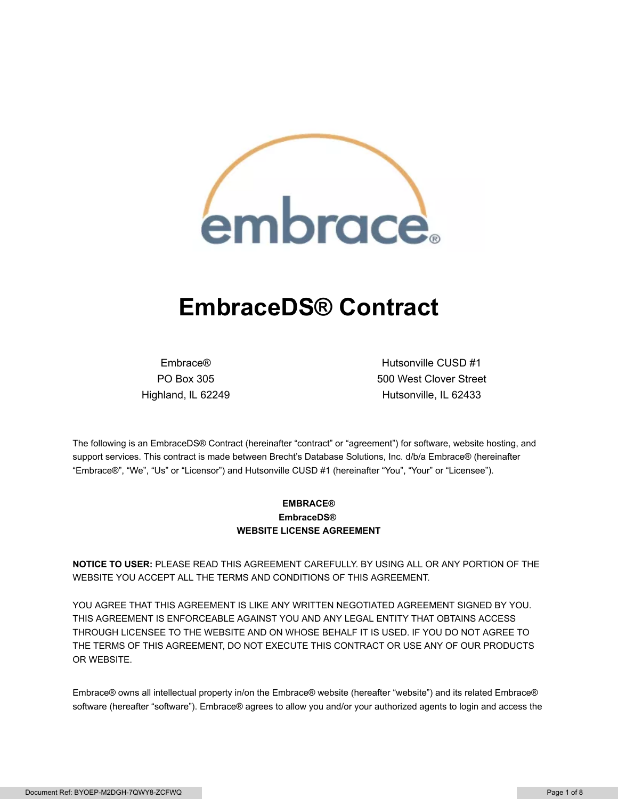

# **EmbraceDS® Contract**

Embrace® PO Box 305 Highland, lL 62249

Hutsonville CUSD #1 500 West Clover Street Hutsonville, IL 62433

The following is an EmbraceDS® Contract (hereinafter "contract" or "agreement") for software, website hosting, and support services. This contract is made between Brecht's Database Solutions, Inc. d/b/a Embrace® (hereinafter "Embrace®", "We", "Us" or "Licensor") and Hutsonville CUSD #1 (hereinafter "You", "Your" or "Licensee").

## **EMBRACE® EmbraceDS® WEBSITE LICENSE AGREEMENT**

**NOTICE TO USER:** PLEASE READ THIS AGREEMENT CAREFULLY. BY USING ALL OR ANY PORTION OF THE WEBSITE YOU ACCEPT ALL THE TERMS AND CONDITIONS OF THIS AGREEMENT.

YOU AGREE THAT THIS AGREEMENT IS LIKE ANY WRITTEN NEGOTIATED AGREEMENT SIGNED BY YOU. THIS AGREEMENT IS ENFORCEABLE AGAINST YOU AND ANY LEGAL ENTITY THAT OBTAINS ACCESS THROUGH LICENSEE TO THE WEBSITE AND ON WHOSE BEHALF IT IS USED. IF YOU DO NOT AGREE TO THE TERMS OF THIS AGREEMENT, DO NOT EXECUTE THIS CONTRACT OR USE ANY OF OUR PRODUCTS OR WEBSITE.

Embrace® owns all intellectual property in/on the Embrace® website (hereafter "website") and its related Embrace® software (hereafter "software"). Embrace® agrees to allow you and/or your authorized agents to login and access the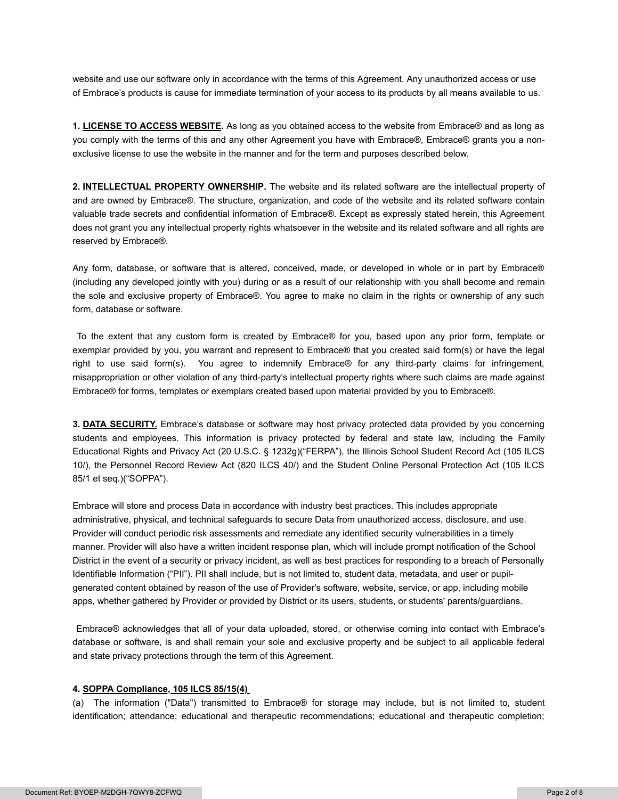website and use our software only in accordance with the terms of this Agreement. Any unauthorized access or use of Embrace's products is cause for immediate termination of your access to its products by all means available to us.

**1. LICENSE TO ACCESS WEBSITE.** As long as you obtained access to the website from Embrace® and as long as you comply with the terms of this and any other Agreement you have with Embrace®, Embrace® grants you a nonexclusive license to use the website in the manner and for the term and purposes described below.

**2. INTELLECTUAL PROPERTY OWNERSHIP.** The website and its related software are the intellectual property of and are owned by Embrace®. The structure, organization, and code of the website and its related software contain valuable trade secrets and confidential information of Embrace®. Except as expressly stated herein, this Agreement does not grant you any intellectual property rights whatsoever in the website and its related software and all rights are reserved by Embrace®.

Any form, database, or software that is altered, conceived, made, or developed in whole or in part by Embrace® (including any developed jointly with you) during or as a result of our relationship with you shall become and remain the sole and exclusive property of Embrace®. You agree to make no claim in the rights or ownership of any such form, database or software.

To the extent that any custom form is created by Embrace® for you, based upon any prior form, template or exemplar provided by you, you warrant and represent to Embrace® that you created said form(s) or have the legal right to use said form(s). You agree to indemnify Embrace® for any third-party claims for infringement, misappropriation or other violation of any third-party's intellectual property rights where such claims are made against Embrace® for forms, templates or exemplars created based upon material provided by you to Embrace®.

**3. DATA SECURITY.** Embrace's database or software may host privacy protected data provided by you concerning students and employees. This information is privacy protected by federal and state law, including the Family Educational Rights and Privacy Act (20 U.S.C. § 1232g)("FERPA"), the Illinois School Student Record Act (105 ILCS 10/), the Personnel Record Review Act (820 ILCS 40/) and the Student Online Personal Protection Act (105 ILCS 85/1 et seq.)("SOPPA").

Embrace will store and process Data in accordance with industry best practices. This includes appropriate administrative, physical, and technical safeguards to secure Data from unauthorized access, disclosure, and use. Provider will conduct periodic risk assessments and remediate any identified security vulnerabilities in a timely manner. Provider will also have a written incident response plan, which will include prompt notification of the School District in the event of a security or privacy incident, as well as best practices for responding to a breach of Personally Identifiable Information ("PII"). PII shall include, but is not limited to, student data, metadata, and user or pupilgenerated content obtained by reason of the use of Provider's software, website, service, or app, including mobile apps, whether gathered by Provider or provided by District or its users, students, or students' parents/guardians.

Embrace® acknowledges that all of your data uploaded, stored, or otherwise coming into contact with Embrace's database or software, is and shall remain your sole and exclusive property and be subject to all applicable federal and state privacy protections through the term of this Agreement.

### **4. SOPPA Compliance, 105 ILCS 85/15(4)**

(a) The information ("Data") transmitted to Embrace® for storage may include, but is not limited to, student identification; attendance; educational and therapeutic recommendations; educational and therapeutic completion;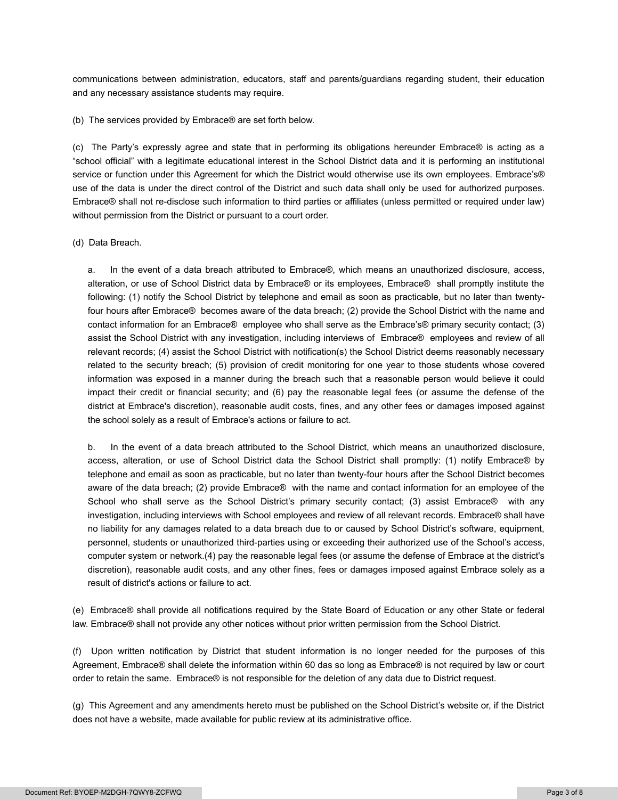communications between administration, educators, staff and parents/guardians regarding student, their education and any necessary assistance students may require.

(b) The services provided by Embrace® are set forth below.

(c) The Party's expressly agree and state that in performing its obligations hereunder Embrace® is acting as a "school official" with a legitimate educational interest in the School District data and it is performing an institutional service or function under this Agreement for which the District would otherwise use its own employees. Embrace's® use of the data is under the direct control of the District and such data shall only be used for authorized purposes. Embrace® shall not re-disclose such information to third parties or affiliates (unless permitted or required under law) without permission from the District or pursuant to a court order.

(d) Data Breach.

a. In the event of a data breach attributed to Embrace®, which means an unauthorized disclosure, access, alteration, or use of School District data by Embrace® or its employees, Embrace® shall promptly institute the following: (1) notify the School District by telephone and email as soon as practicable, but no later than twentyfour hours after Embrace® becomes aware of the data breach; (2) provide the School District with the name and contact information for an Embrace® employee who shall serve as the Embrace's® primary security contact; (3) assist the School District with any investigation, including interviews of Embrace® employees and review of all relevant records; (4) assist the School District with notification(s) the School District deems reasonably necessary related to the security breach; (5) provision of credit monitoring for one year to those students whose covered information was exposed in a manner during the breach such that a reasonable person would believe it could impact their credit or financial security; and (6) pay the reasonable legal fees (or assume the defense of the district at Embrace's discretion), reasonable audit costs, fines, and any other fees or damages imposed against the school solely as a result of Embrace's actions or failure to act.

b. In the event of a data breach attributed to the School District, which means an unauthorized disclosure, access, alteration, or use of School District data the School District shall promptly: (1) notify Embrace® by telephone and email as soon as practicable, but no later than twenty-four hours after the School District becomes aware of the data breach; (2) provide Embrace® with the name and contact information for an employee of the School who shall serve as the School District's primary security contact; (3) assist Embrace® with any investigation, including interviews with School employees and review of all relevant records. Embrace® shall have no liability for any damages related to a data breach due to or caused by School District's software, equipment, personnel, students or unauthorized third-parties using or exceeding their authorized use of the School's access, computer system or network.(4) pay the reasonable legal fees (or assume the defense of Embrace at the district's discretion), reasonable audit costs, and any other fines, fees or damages imposed against Embrace solely as a result of district's actions or failure to act.

(e) Embrace® shall provide all notifications required by the State Board of Education or any other State or federal law. Embrace® shall not provide any other notices without prior written permission from the School District.

(f) Upon written notification by District that student information is no longer needed for the purposes of this Agreement, Embrace® shall delete the information within 60 das so long as Embrace® is not required by law or court order to retain the same. Embrace® is not responsible for the deletion of any data due to District request.

(g) This Agreement and any amendments hereto must be published on the School District's website or, if the District does not have a website, made available for public review at its administrative office.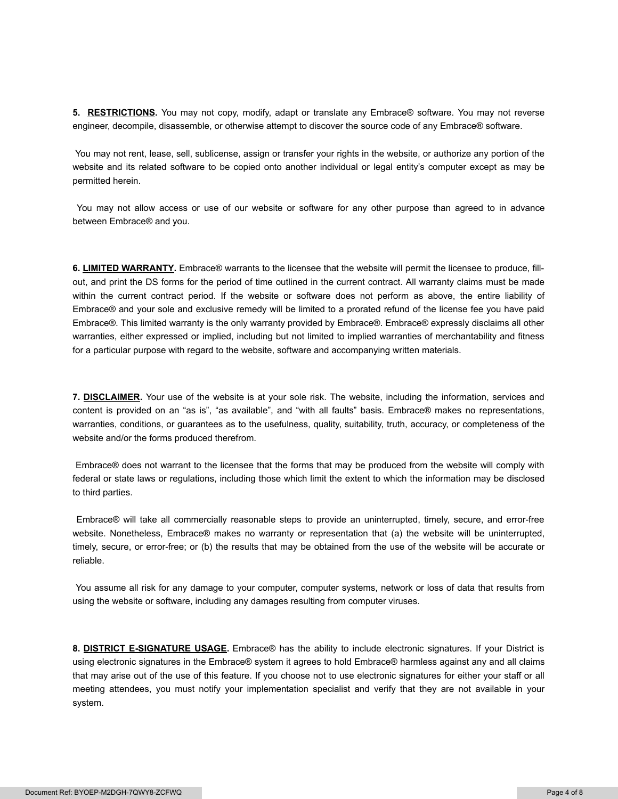**5. RESTRICTIONS.** You may not copy, modify, adapt or translate any Embrace® software. You may not reverse engineer, decompile, disassemble, or otherwise attempt to discover the source code of any Embrace® software.

You may not rent, lease, sell, sublicense, assign or transfer your rights in the website, or authorize any portion of the website and its related software to be copied onto another individual or legal entity's computer except as may be permitted herein.

You may not allow access or use of our website or software for any other purpose than agreed to in advance between Embrace® and you.

**6. LIMITED WARRANTY.** Embrace® warrants to the licensee that the website will permit the licensee to produce, fillout, and print the DS forms for the period of time outlined in the current contract. All warranty claims must be made within the current contract period. If the website or software does not perform as above, the entire liability of Embrace® and your sole and exclusive remedy will be limited to a prorated refund of the license fee you have paid Embrace®. This limited warranty is the only warranty provided by Embrace®. Embrace® expressly disclaims all other warranties, either expressed or implied, including but not limited to implied warranties of merchantability and fitness for a particular purpose with regard to the website, software and accompanying written materials.

**7. DISCLAIMER.** Your use of the website is at your sole risk. The website, including the information, services and content is provided on an "as is", "as available", and "with all faults" basis. Embrace® makes no representations, warranties, conditions, or guarantees as to the usefulness, quality, suitability, truth, accuracy, or completeness of the website and/or the forms produced therefrom.

Embrace® does not warrant to the licensee that the forms that may be produced from the website will comply with federal or state laws or regulations, including those which limit the extent to which the information may be disclosed to third parties.

Embrace® will take all commercially reasonable steps to provide an uninterrupted, timely, secure, and error-free website. Nonetheless, Embrace® makes no warranty or representation that (a) the website will be uninterrupted, timely, secure, or error-free; or (b) the results that may be obtained from the use of the website will be accurate or reliable.

You assume all risk for any damage to your computer, computer systems, network or loss of data that results from using the website or software, including any damages resulting from computer viruses.

**8. DISTRICT E-SIGNATURE USAGE.** Embrace® has the ability to include electronic signatures. If your District is using electronic signatures in the Embrace® system it agrees to hold Embrace® harmless against any and all claims that may arise out of the use of this feature. If you choose not to use electronic signatures for either your staff or all meeting attendees, you must notify your implementation specialist and verify that they are not available in your system.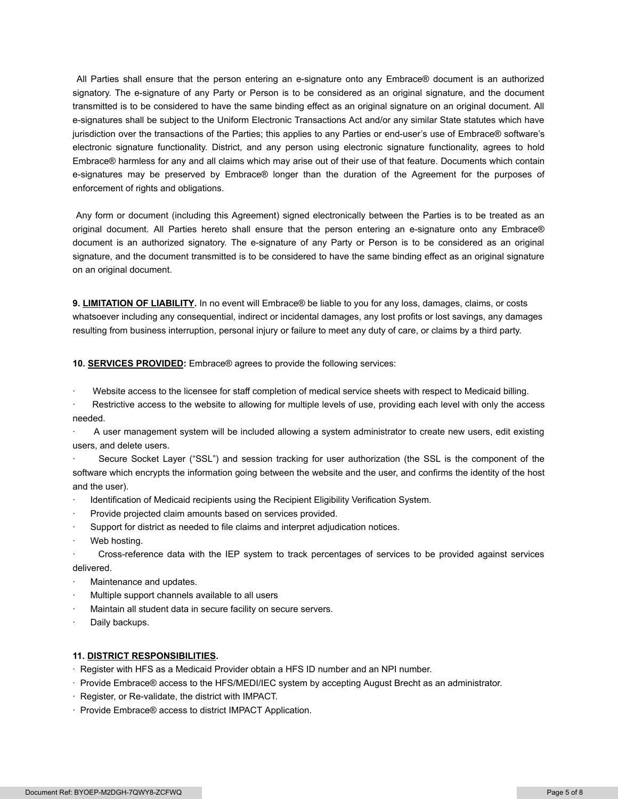All Parties shall ensure that the person entering an e-signature onto any Embrace® document is an authorized signatory. The e-signature of any Party or Person is to be considered as an original signature, and the document transmitted is to be considered to have the same binding effect as an original signature on an original document. All e-signatures shall be subject to the Uniform Electronic Transactions Act and/or any similar State statutes which have jurisdiction over the transactions of the Parties; this applies to any Parties or end-user's use of Embrace® software's electronic signature functionality. District, and any person using electronic signature functionality, agrees to hold Embrace® harmless for any and all claims which may arise out of their use of that feature. Documents which contain e-signatures may be preserved by Embrace® longer than the duration of the Agreement for the purposes of enforcement of rights and obligations.

Any form or document (including this Agreement) signed electronically between the Parties is to be treated as an original document. All Parties hereto shall ensure that the person entering an e-signature onto any Embrace® document is an authorized signatory. The e-signature of any Party or Person is to be considered as an original signature, and the document transmitted is to be considered to have the same binding effect as an original signature on an original document.

**9. LIMITATION OF LIABILITY.** In no event will Embrace® be liable to you for any loss, damages, claims, or costs whatsoever including any consequential, indirect or incidental damages, any lost profits or lost savings, any damages resulting from business interruption, personal injury or failure to meet any duty of care, or claims by a third party.

**10. SERVICES PROVIDED:** Embrace® agrees to provide the following services:

Website access to the licensee for staff completion of medical service sheets with respect to Medicaid billing.

Restrictive access to the website to allowing for multiple levels of use, providing each level with only the access needed.

· A user management system will be included allowing a system administrator to create new users, edit existing users, and delete users.

Secure Socket Layer ("SSL") and session tracking for user authorization (the SSL is the component of the software which encrypts the information going between the website and the user, and confirms the identity of the host and the user).

- Identification of Medicaid recipients using the Recipient Eligibility Verification System.
- Provide projected claim amounts based on services provided.
- Support for district as needed to file claims and interpret adjudication notices.
- Web hosting.

· Cross-reference data with the IEP system to track percentages of services to be provided against services delivered.

- Maintenance and updates.
- Multiple support channels available to all users
- Maintain all student data in secure facility on secure servers.
- Daily backups.

#### **11. DISTRICT RESPONSIBILITIES.**

- · Register with HFS as a Medicaid Provider obtain a HFS ID number and an NPI number.
- · Provide Embrace® access to the HFS/MEDI/IEC system by accepting August Brecht as an administrator.
- · Register, or Re-validate, the district with IMPACT.
- · Provide Embrace® access to district IMPACT Application.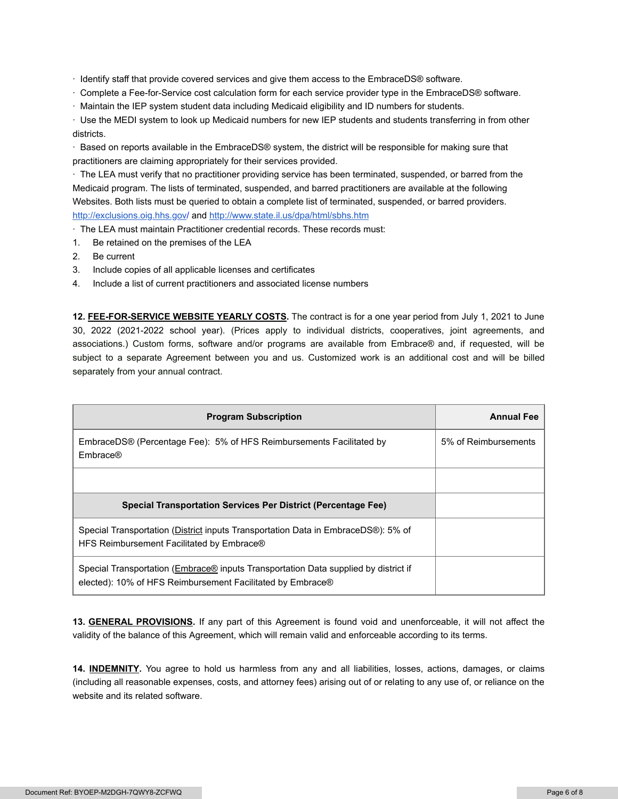· Identify staff that provide covered services and give them access to the EmbraceDS® software.

- · Complete a Fee-for-Service cost calculation form for each service provider type in the EmbraceDS® software.
- · Maintain the IEP system student data including Medicaid eligibility and ID numbers for students.

· Use the MEDI system to look up Medicaid numbers for new IEP students and students transferring in from other districts.

· Based on reports available in the EmbraceDS® system, the district will be responsible for making sure that practitioners are claiming appropriately for their services provided.

· The LEA must verify that no practitioner providing service has been terminated, suspended, or barred from the Medicaid program. The lists of terminated, suspended, and barred practitioners are available at the following Websites. Both lists must be queried to obtain a complete list of terminated, suspended, or barred providers. [http://exclusions.oig.hhs.gov](http://exclusions.oig.hhs.gov/)/ and <http://www.state.il.us/dpa/html/sbhs.htm>

· The LEA must maintain Practitioner credential records. These records must:

- 1. Be retained on the premises of the LEA
- 2. Be current
- 3. Include copies of all applicable licenses and certificates
- 4. Include a list of current practitioners and associated license numbers

**12. FEE-FOR-SERVICE WEBSITE YEARLY COSTS.** The contract is for a one year period from July 1, 2021 to June 30, 2022 (2021-2022 school year). (Prices apply to individual districts, cooperatives, joint agreements, and associations.) Custom forms, software and/or programs are available from Embrace® and, if requested, will be subject to a separate Agreement between you and us. Customized work is an additional cost and will be billed separately from your annual contract.

| <b>Program Subscription</b>                                                                                                                       | <b>Annual Fee</b>    |
|---------------------------------------------------------------------------------------------------------------------------------------------------|----------------------|
| EmbraceDS® (Percentage Fee): 5% of HFS Reimbursements Facilitated by<br>Embrace®                                                                  | 5% of Reimbursements |
|                                                                                                                                                   |                      |
| <b>Special Transportation Services Per District (Percentage Fee)</b>                                                                              |                      |
| Special Transportation (District inputs Transportation Data in EmbraceDS®): 5% of<br>HFS Reimbursement Facilitated by Embrace®                    |                      |
| Special Transportation (Embrace® inputs Transportation Data supplied by district if<br>elected): 10% of HFS Reimbursement Facilitated by Embrace® |                      |

**13. GENERAL PROVISIONS.** If any part of this Agreement is found void and unenforceable, it will not affect the validity of the balance of this Agreement, which will remain valid and enforceable according to its terms.

**14. INDEMNITY.** You agree to hold us harmless from any and all liabilities, losses, actions, damages, or claims (including all reasonable expenses, costs, and attorney fees) arising out of or relating to any use of, or reliance on the website and its related software.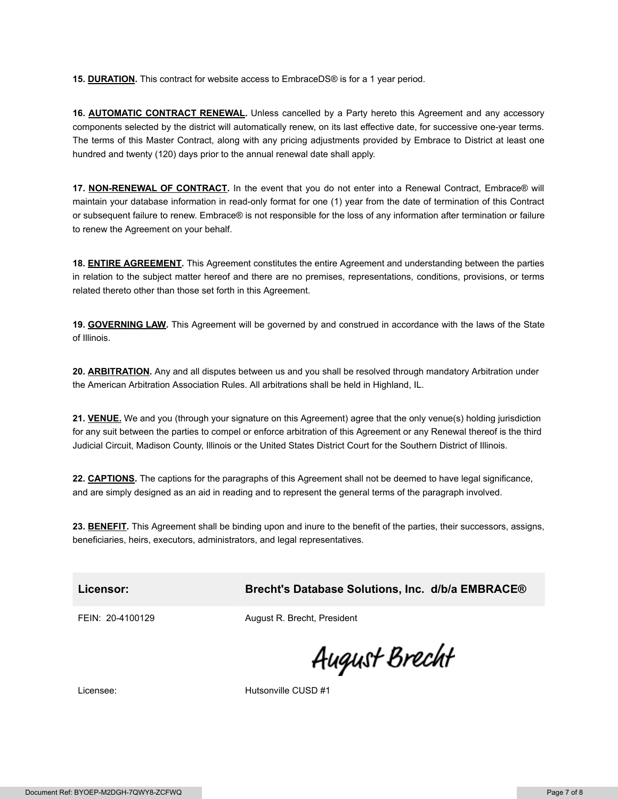**15. DURATION.** This contract for website access to EmbraceDS® is for a 1 year period.

16. **AUTOMATIC CONTRACT RENEWAL**. Unless cancelled by a Party hereto this Agreement and any accessory components selected by the district will automatically renew, on its last effective date, for successive one-year terms. The terms of this Master Contract, along with any pricing adjustments provided by Embrace to District at least one hundred and twenty (120) days prior to the annual renewal date shall apply.

17. NON-RENEWAL OF CONTRACT. In the event that you do not enter into a Renewal Contract, Embrace® will maintain your database information in read-only format for one (1) year from the date of termination of this Contract or subsequent failure to renew. Embrace® is not responsible for the loss of any information after termination or failure to renew the Agreement on your behalf.

**18. ENTIRE AGREEMENT.** This Agreement constitutes the entire Agreement and understanding between the parties in relation to the subject matter hereof and there are no premises, representations, conditions, provisions, or terms related thereto other than those set forth in this Agreement.

**19. GOVERNING LAW.** This Agreement will be governed by and construed in accordance with the laws of the State of Illinois.

**20. ARBITRATION.** Any and all disputes between us and you shall be resolved through mandatory Arbitration under the American Arbitration Association Rules. All arbitrations shall be held in Highland, IL.

**21. VENUE.** We and you (through your signature on this Agreement) agree that the only venue(s) holding jurisdiction for any suit between the parties to compel or enforce arbitration of this Agreement or any Renewal thereof is the third Judicial Circuit, Madison County, Illinois or the United States District Court for the Southern District of Illinois.

**22. CAPTIONS.** The captions for the paragraphs of this Agreement shall not be deemed to have legal significance, and are simply designed as an aid in reading and to represent the general terms of the paragraph involved.

**23. BENEFIT.** This Agreement shall be binding upon and inure to the benefit of the parties, their successors, assigns, beneficiaries, heirs, executors, administrators, and legal representatives.

## **Licensor: Brecht's Database Solutions, Inc. d/b/a EMBRACE®**

FEIN: 20-4100129 August R. Brecht, President

August Brecht

Licensee: Hutsonville CUSD #1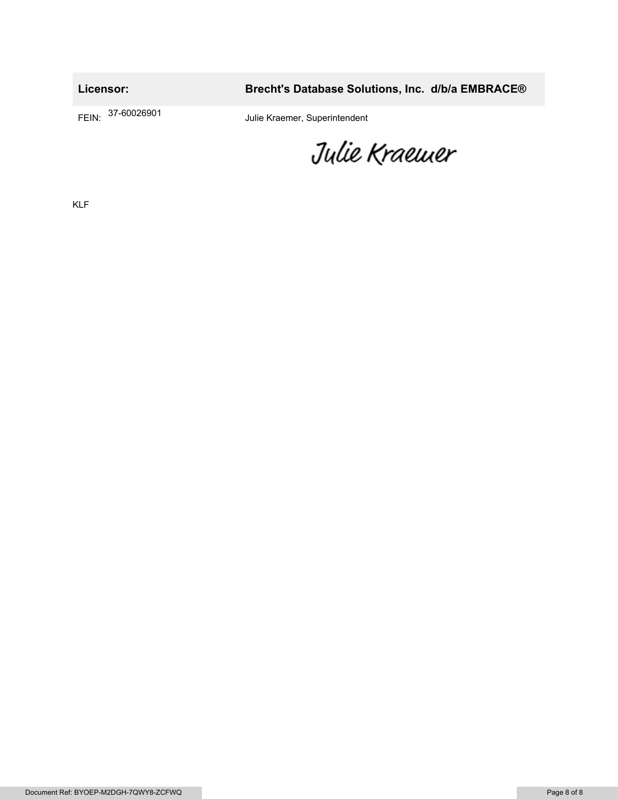**Licensor: Brecht's Database Solutions, Inc. d/b/a EMBRACE®** FEIN: 37-60026901 Julie Kraemer, Superintendent

Julie Kraemer

KLF